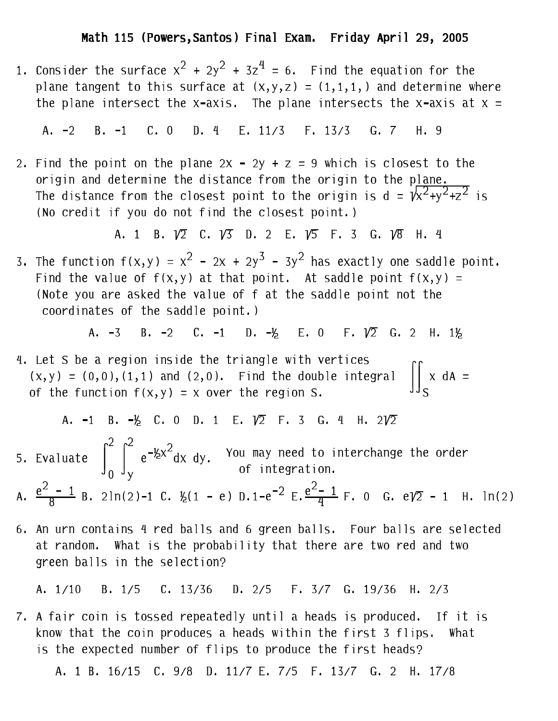1. Consider the surface  $x^2 + 2y^2 + 3z^4 = 6$ . Find the equation for the plane tangent to this surface at  $(x, y, z) = (1, 1, 1, 1)$  and determine where the plane intersect the x-axis. The plane intersects the x-axis at  $x =$ 

A. -2 B. -1 C. 0 D. 4 E. 11/3 F. 13/3 G. 7 H. 9

2. Find the point on the plane  $2x - 2y + z = 9$  which is closest to the origin and determine the distance from the origin to the plane. The distance from the closest point to the origin is  $d = \sqrt{x^2+y^2+z^2}$  is (No credit if you do not find the closest point.)

A. 1 B.  $\sqrt{2}$  C.  $\sqrt{3}$  D. 2 E.  $\sqrt{5}$  F. 3 G.  $\sqrt{8}$  H. 4

3. The function  $f(x, y) = x^2 - 2x + 2y^3 - 3y^2$  has exactly one saddle point. Find the value of  $f(x, y)$  at that point. At saddle point  $f(x, y) =$ (Note you are asked the value of f at the saddle point not the coordinates of the saddle point.)

> B.  $-2$  C.  $-1$  D.  $-\frac{1}{2}$  E. 0 F.  $\sqrt{2}$  G. 2 H. 1½  $A. -3$

4. Let S be a region inside the triangle with vertices  $(x,y) = (0,0), (1,1)$  and  $(2,0)$ . Find the double integral  $\iint_S x \, dA =$ <br>of the function  $f(x,y) = x$  over the region S.

A. -1 B. 
$$
-1/2
$$
 C. 0 D. 1 E.  $\sqrt{2}$  F. 3 G. 4 H.  $2\sqrt{2}$ 

5. Evaluate  $\int_0^2 \int_y^2 e^{-\frac{1}{2}x^2} dx dy$ . You may need to interchange the order of integration. A.  $\frac{e^2 - 1}{8}$  B. 2ln(2)-1 C.  $\frac{1}{2}$ (1 - e) D.1-e<sup>-2</sup> E.  $\frac{e^2 - 1}{4}$  F. 0 G. eV2 - 1 H. ln(2)

6. An urn contains 4 red balls and 6 green balls. Four balls are selected at random. What is the probability that there are two red and two green balls in the selection?

A. 1/10 B. 1/5 C. 13/36 D. 2/5 F. 3/7 G. 19/36 H. 2/3

7. A fair coin is tossed repeatedly until a heads is produced. If it is know that the coin produces a heads within the first 3 flips. What is the expected number of flips to produce the first heads?

A. 1 B. 16/15 C. 9/8 D. 11/7 E. 7/5 F. 13/7 G. 2 H. 17/8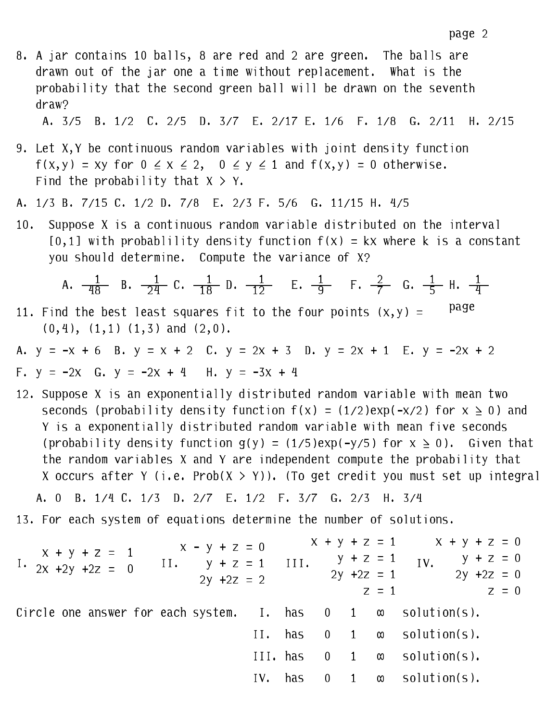8. A jar contains 10 balls, 8 are red and 2 are green. The balls are drawn out of the jar one a time without replacement. What is the probability that the second green ball will be drawn on the seventh draw?

A. 3/5 B. 1/2 C. 2/5 D. 3/7 E. 2/17 E. 1/6 F. 1/8 G. 2/11 H. 2/15

- 9. Let X, Y be continuous random variables with joint density function  $f(x,y) = xy$  for  $0 \le x \le 2$ ,  $0 \le y \le 1$  and  $f(x,y) = 0$  otherwise. Find the probability that  $X > Y$ .
- A. 1/3 B. 7/15 C. 1/2 D. 7/8 E. 2/3 F. 5/6 G. 11/15 H. 4/5
- Suppose X is a continuous random variable distributed on the interval  $10.$  $[0,1]$  with probablility density function  $f(x) = kx$  where k is a constant you should determine. Compute the variance of X?

A. 
$$
\frac{1}{48}
$$
 B.  $\frac{1}{24}$  C.  $\frac{1}{18}$  D.  $\frac{1}{12}$  E.  $\frac{1}{9}$  F.  $\frac{2}{7}$  G.  $\frac{1}{5}$  H.  $\frac{1}{4}$ 

- page 11. Find the best least squares fit to the four points  $(x, y)$  =  $(0,4)$ ,  $(1,1)$   $(1,3)$  and  $(2,0)$ .
- A.  $y = -x + 6$  B.  $y = x + 2$  C.  $y = 2x + 3$  D.  $y = 2x + 1$  E.  $y = -2x + 2$

F. 
$$
y = -2x
$$
 G.  $y = -2x + 4$  H.  $y = -3x + 4$ 

12. Suppose X is an exponentially distributed random variable with mean two seconds (probability density function  $f(x) = (1/2)exp(-x/2)$  for  $x \ge 0$ ) and Y is a exponentially distributed random variable with mean five seconds (probability density function  $g(y) = (1/5)exp(-y/5)$  for  $x \ge 0$ ). Given that the random variables X and Y are independent compute the probability that X occurs after Y (i.e. Prob(X > Y)). (To get credit you must set up integral

13. For each system of equations determine the number of solutions.

| $x + y + z = 1$       | $x - y + z = 0$ | $x + y + z = 1$ | $y + z = 1$   | $y + z = 1$ | $y + z = 1$ | $y + z = 0$ |
|-----------------------|-----------------|-----------------|---------------|-------------|-------------|-------------|
| 1. $2x + 2y + 2z = 0$ | $2y + 2z = 2$   | $2y + 2z = 1$   | $2y + 2z = 0$ |             |             |             |
| 1. $2y + 2z = 1$      | $2y + 2z = 1$   | $2z = 0$        |               |             |             |             |
| 1. $2y + 2z = 1$      | $2z = 0$        |                 |               |             |             |             |
| 1. $2z = 1$           | $2z = 0$        |                 |               |             |             |             |
| 1. $2z = 1$           | $2z = 0$        |                 |               |             |             |             |
| 1. $2z = 0$           | $2z = 1$        |                 |               |             |             |             |
| 1. $2z = 0$           | $2z = 1$        | $2z = 0$        |               |             |             |             |
| 1. $2z = 1$           | $2z = 0$        |                 |               |             |             |             |
| 1. $2z = 1$           | $2z = 0$        |                 |               |             |             |             |
| 1. $2z = 1$           | $2z = 0$        |                 |               |             |             |             |
| 1. $2z = 1$           | $2z = 0$        |                 |               |             |             |             |
|                       |                 |                 |               |             |             |             |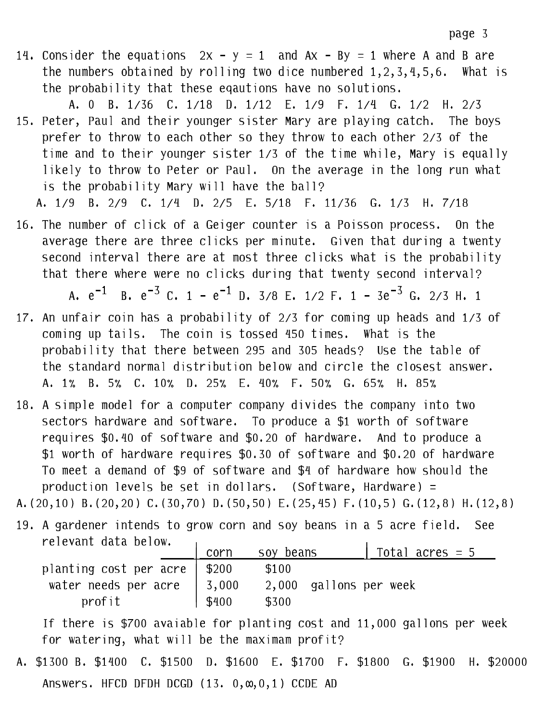- 14. Consider the equations  $2x y = 1$  and  $Ax By = 1$  where A and B are the numbers obtained by rolling two dice numbered  $1, 2, 3, 4, 5, 6$ . What is the probability that these eqautions have no solutions.
- A. 0 B. 1/36 C. 1/18 D. 1/12 E. 1/9 F. 1/4 G. 1/2 H. 2/3 15. Peter, Paul and their younger sister Mary are playing catch. The boys prefer to throw to each other so they throw to each other 2/3 of the time and to their younger sister 1/3 of the time while, Mary is equally likely to throw to Peter or Paul. On the average in the long run what is the probability Mary will have the ball?

A. 1/9 B. 2/9 C. 1/4 D. 2/5 E. 5/18 F. 11/36 G. 1/3 H. 7/18

16. The number of click of a Geiger counter is a Poisson process. On the average there are three clicks per minute. Given that during a twenty second interval there are at most three clicks what is the probability that there where were no clicks during that twenty second interval?

A.  $e^{-1}$  B.  $e^{-3}$  C. 1 -  $e^{-1}$  D. 3/8 E. 1/2 F. 1 - 3 $e^{-3}$  G. 2/3 H. 1

- 17. An unfair coin has a probability of 2/3 for coming up heads and 1/3 of coming up tails. The coin is tossed 450 times. What is the probability that there between 295 and 305 heads? Use the table of the standard normal distribution below and circle the closest answer. A. 1% B. 5% C. 10% D. 25% E. 40% F. 50% G. 65% H. 85%
- 18. A simple model for a computer company divides the company into two sectors hardware and software. To produce a \$1 worth of software requires \$0.40 of software and \$0.20 of hardware. And to produce a \$1 worth of hardware requires \$0.30 of software and \$0.20 of hardware To meet a demand of \$9 of software and \$4 of hardware how should the production levels be set in dollars. (Software, Hardware) =

A. (20,10) B. (20,20) C. (30,70) D. (50,50) E. (25,45) F. (10,5) G. (12,8) H. (12,8)

19. A gardener intends to grow corn and soy beans in a 5 acre field. See relevant data below.  $\mathbf{r}$  $\mathbf{I}$ 

|                                    | corn    | soy beans              | Total acres $= 5$ |
|------------------------------------|---------|------------------------|-------------------|
| planting cost per acre   $$200$    |         | \$100                  |                   |
| water needs per acre $\vert$ 3,000 |         | 2,000 gallons per week |                   |
| profit                             | 1 \$400 | \$300                  |                   |

If there is \$700 avaiable for planting cost and 11,000 gallons per week for watering, what will be the maximam profit?

A. \$1300 B. \$1400 C. \$1500 D. \$1600 E. \$1700 F. \$1800 G. \$1900 H. \$20000 Answers. HFCD DFDH DCGD (13. 0,  $\infty$ , 0, 1) CCDE AD